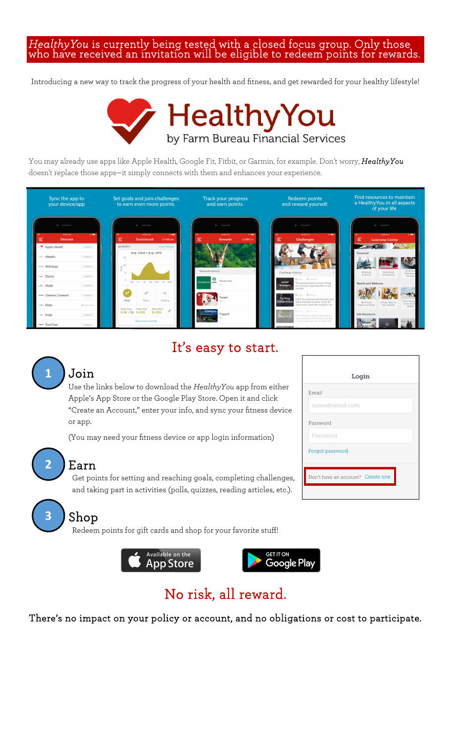# *HealthyYou* is currently being tested with a closed focus group. Only those who have received an invitation will be eligible to redeem points for rewards.

Introducing a new way to track the progress of your health and fitness, and get rewarded for your healthy lifestyle!



You may already use apps like Apple Health, Google Fit, Fitbit, or Garmin, for example. Don't worry, *HealthyYou* doesn't replace those apps—it simply connects with them and enhances your experience.



### It's easy to start.



#### Join

Use the links below to download the *HealthyYou* app from either Apple's App Store or the Google Play Store. Open it and click "Create an Account," enter your info, and sync your fitness device or app.

(You may need your fitness device or app login information)

### **2** Earn

Get points for setting and reaching goals, completing challenges, and taking part in activities (polls, quizzes, reading articles, etc.).

## <mark>3 )</mark> Shop

Redeem points for gift cards and shop for your favorite stuff!





### No risk, all reward.

There's no impact on your policy or account, and no obligations or cost to participate.

| Login                              |
|------------------------------------|
| Email                              |
| name@email.com                     |
| Password                           |
| Password                           |
| Forgot password                    |
|                                    |
| Don't have an account? Create one. |
|                                    |